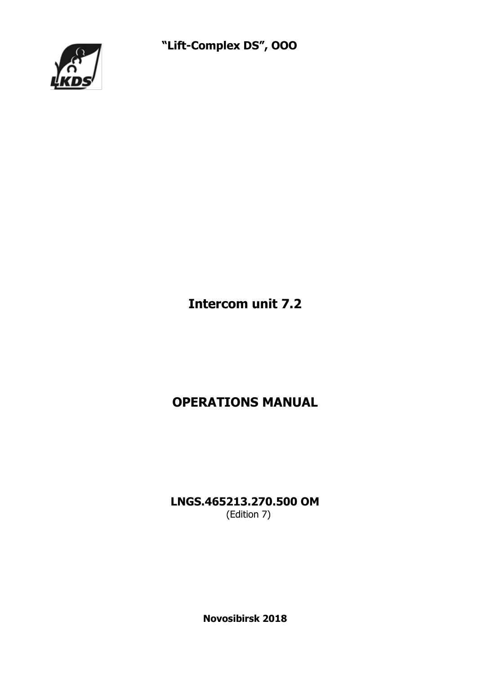"Lift-Complex DS", OOO



Intercom unit 7.2

# OPERATIONS MANUAL

LNGS.465213.270.500 OM (Edition 7)

Novosibirsk 2018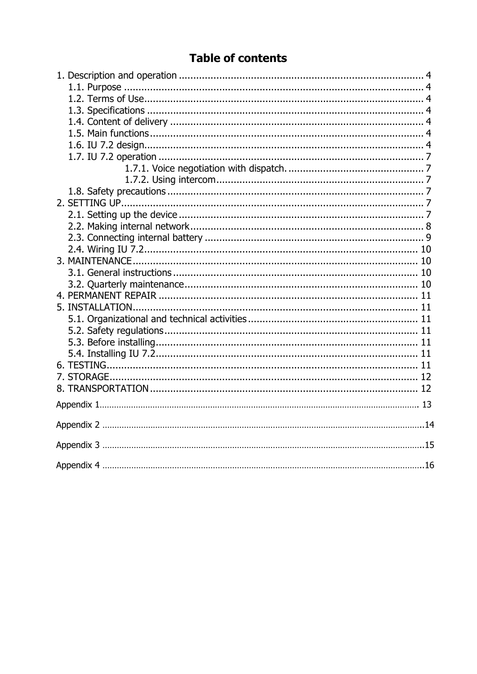# **Table of contents**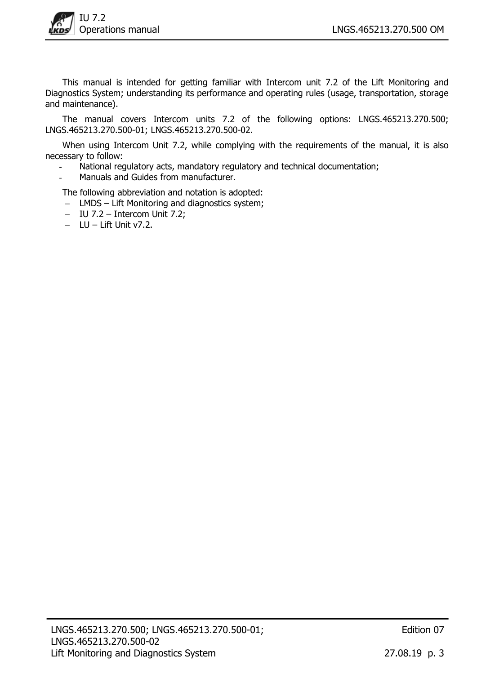

This manual is intended for getting familiar with Intercom unit 7.2 of the Lift Monitoring and Diagnostics System; understanding its performance and operating rules (usage, transportation, storage and maintenance).

The manual covers Intercom units 7.2 of the following options: LNGS.465213.270.500; LNGS.465213.270.500-01; LNGS.465213.270.500-02.

When using Intercom Unit 7.2, while complying with the requirements of the manual, it is also necessary to follow:

- National regulatory acts, mandatory regulatory and technical documentation;
- Manuals and Guides from manufacturer.

The following abbreviation and notation is adopted:

- LMDS Lift Monitoring and diagnostics system;
- $-$  IU 7.2 Intercom Unit 7.2;
- $-LU Lift$  Unit v7.2.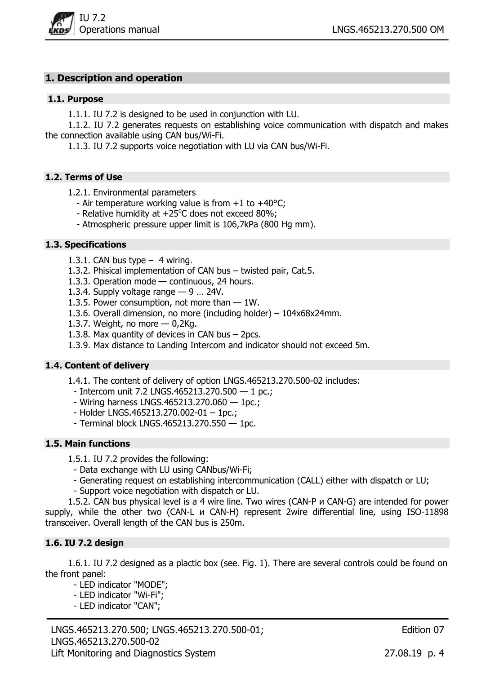

### 1. Description and operation

#### 1.1. Purpose

1.1.1. IU 7.2 is designed to be used in conjunction with LU.

1.1.2. IU 7.2 generates requests on establishing voice communication with dispatch and makes the connection available using CAN bus/Wi-Fi.

1.1.3. IU 7.2 supports voice negotiation with LU via CAN bus/Wi-Fi.

#### 1.2. Terms of Use

- 1.2.1. Environmental parameters
	- Air temperature working value is from +1 to +40°С;
	- Relative humidity at  $+25^{\circ}$ C does not exceed 80%;
	- Atmospheric pressure upper limit is 106,7kPa (800 Hg mm).

#### 1.3. Specifications

- 1.3.1. CAN bus type  $-$  4 wiring.
- 1.3.2. Phisical implementation of CAN bus twisted pair, Cat.5.
- 1.3.3. Operation mode continuous, 24 hours.
- 1.3.4. Supply voltage range  $-9$  ... 24V.
- 1.3.5. Power consumption, not more than 1W.
- 1.3.6. Overall dimension, no more (including holder) 104х68х24mm.
- 1.3.7. Weight, no more  $-$  0,2Kg.
- 1.3.8. Max quantity of devices in CAN bus 2pcs.
- 1.3.9. Max distance to Landing Intercom and indicator should not exceed 5m.

#### 1.4. Content of delivery

1.4.1. The content of delivery of option LNGS.465213.270.500-02 includes:

- Intercom unit 7.2 LNGS.465213.270.500  $-$  1 pc.;
- Wiring harness LNGS.465213.270.060 1pc.;
- Holder LNGS.465213.270.002-01 1pc.;
- Terminal block LNGS.465213.270.550 1pc.

### 1.5. Main functions

1.5.1. IU 7.2 provides the following:

- Data exchange with LU using CANbus/Wi-Fi;
- Generating request on establishing intercommunication (CALL) either with dispatch or LU;
- Support voice negotiation with dispatch or LU.

1.5.2. CAN bus physical level is a 4 wire line. Two wires (CAN-P и CAN-G) are intended for power supply, while the other two (CAN-L и CAN-H) represent 2wire differential line, using ISO-11898 transceiver. Overall length of the CAN bus is 250m.

#### 1.6. IU 7.2 design

1.6.1. IU 7.2 designed as a plactic box (see. Fig. 1). There are several controls could be found on the front panel:

- LED indicator "MODE";
- LED indicator "Wi-Fi";
- LED indicator "CAN";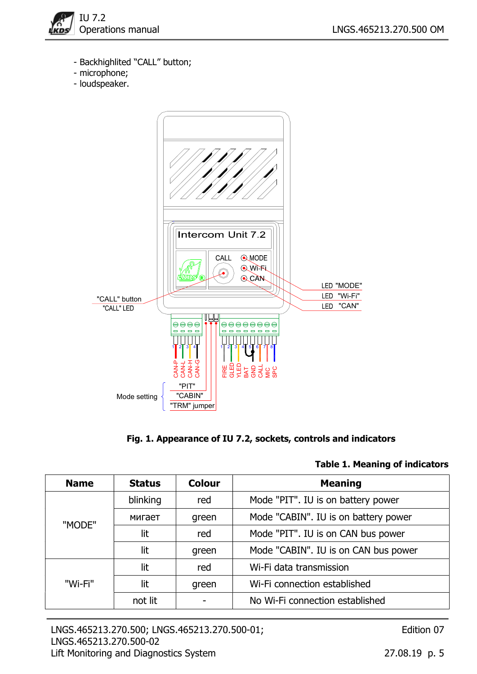

- Backhighlited "CALL" button;
- microphone;
- loudspeaker.



## Fig. 1. Appearance of IU 7.2, sockets, controls and indicators

#### Table 1. Meaning of indicators

| <b>Name</b> | <b>Status</b> | <b>Colour</b> | <b>Meaning</b>                       |
|-------------|---------------|---------------|--------------------------------------|
|             | blinking      | red           | Mode "PIT". IU is on battery power   |
| "MODE"      | мигает        | green         | Mode "CABIN". IU is on battery power |
|             | lit           | red           | Mode "PIT". IU is on CAN bus power   |
|             | lit           | green         | Mode "CABIN". IU is on CAN bus power |
|             | lit           | red           | Wi-Fi data transmission              |
| "Wi-Fi"     | lit           | green         | Wi-Fi connection established         |
|             | not lit       |               | No Wi-Fi connection established      |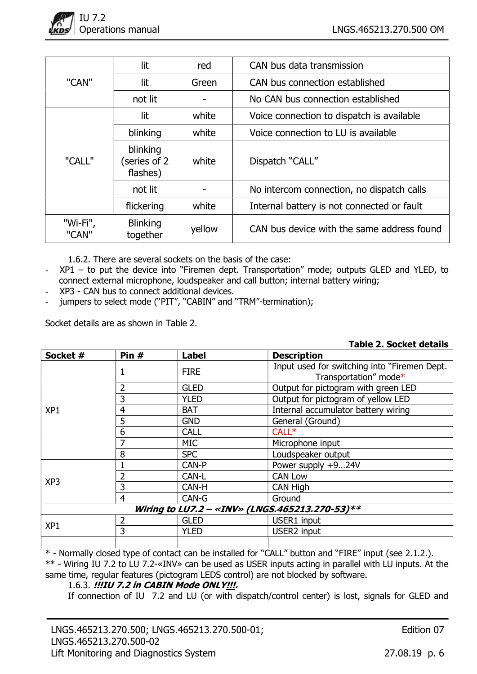

|                   | lit                                  | red    | CAN bus data transmission                  |
|-------------------|--------------------------------------|--------|--------------------------------------------|
| "CAN"             | lit                                  | Green  | CAN bus connection established             |
|                   | not lit                              |        | No CAN bus connection established          |
|                   | lit                                  | white  | Voice connection to dispatch is available  |
|                   | blinking                             | white  | Voice connection to LU is available        |
| "CALL"            | blinking<br>(series of 2<br>flashes) | white  | Dispatch "CALL"                            |
|                   | not lit                              |        | No intercom connection, no dispatch calls  |
|                   | flickering                           | white  | Internal battery is not connected or fault |
| "Wi-Fi",<br>"CAN" | <b>Blinking</b><br>together          | yellow | CAN bus device with the same address found |

1.6.2. There are several sockets on the basis of the case:

- XP1 to put the device into "Firemen dept. Transportation" mode; outputs GLED and YLED, to connect external microphone, loudspeaker and call button; internal battery wiring;
- XP3 CAN bus to connect additional devices.
- jumpers to select mode ("PIT", "CABIN" and "TRM"-termination);

Socket details are as shown in Table 2.

| Table 2. Socket details |  |  |  |  |  |
|-------------------------|--|--|--|--|--|
|-------------------------|--|--|--|--|--|

| Socket #        | Pin #                                          | <b>Label</b> | <b>Description</b>                                                    |  |  |  |  |
|-----------------|------------------------------------------------|--------------|-----------------------------------------------------------------------|--|--|--|--|
|                 |                                                | <b>FIRE</b>  | Input used for switching into "Firemen Dept.<br>Transportation" mode* |  |  |  |  |
|                 | 2                                              | <b>GLED</b>  | Output for pictogram with green LED                                   |  |  |  |  |
|                 | 3                                              | <b>YLED</b>  | Output for pictogram of yellow LED                                    |  |  |  |  |
| XP <sub>1</sub> | 4                                              | <b>BAT</b>   | Internal accumulator battery wiring                                   |  |  |  |  |
|                 | 5                                              | <b>GND</b>   | General (Ground)                                                      |  |  |  |  |
|                 | 6                                              | <b>CALL</b>  | $CALL*$                                                               |  |  |  |  |
|                 |                                                | <b>MIC</b>   | Microphone input                                                      |  |  |  |  |
|                 | 8                                              | <b>SPC</b>   | Loudspeaker output                                                    |  |  |  |  |
|                 |                                                | CAN-P        | Power supply +924V                                                    |  |  |  |  |
|                 |                                                | CAN-L        | <b>CAN Low</b>                                                        |  |  |  |  |
| XP <sub>3</sub> | 3                                              | CAN-H        | CAN High                                                              |  |  |  |  |
|                 | $\overline{4}$                                 | CAN-G        | Ground                                                                |  |  |  |  |
|                 | Wiring to LU7.2 - «INV» (LNGS.465213.270-53)** |              |                                                                       |  |  |  |  |
|                 | 2                                              | <b>GLED</b>  | USER1 input                                                           |  |  |  |  |
| XP <sub>1</sub> | 3                                              | <b>YLED</b>  | <b>USER2</b> input                                                    |  |  |  |  |
|                 |                                                |              |                                                                       |  |  |  |  |

\* - Normally closed type of contact can be installed for "CALL" button and "FIRE" input (see 2.1.2.). \*\* - Wiring IU 7.2 to LU 7.2-«INV» can be used as USER inputs acting in parallel with LU inputs. At the same time, regular features (pictogram LEDS control) are not blocked by software.

#### 1.6.3. !!!IU 7.2 in CABIN Mode ONLY!!!.

If connection of IU 7.2 and LU (or with dispatch/control center) is lost, signals for GLED and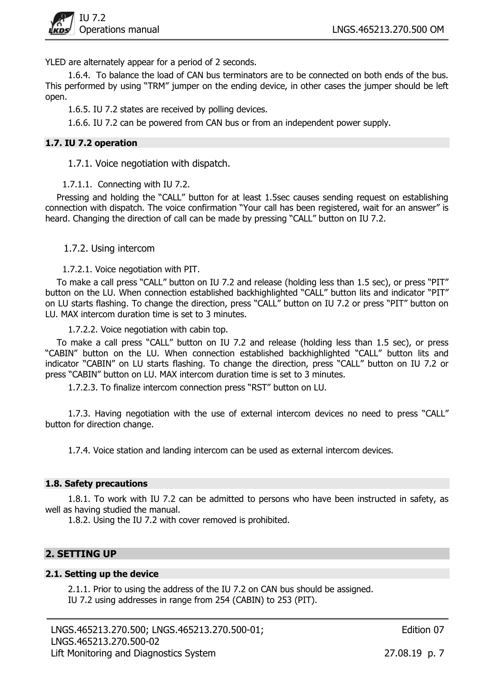

YLED are alternately appear for a period of 2 seconds.

1.6.4. To balance the load of CAN bus terminators are to be connected on both ends of the bus. This performed by using "TRM" jumper on the ending device, in other cases the jumper should be left open.

1.6.5. IU 7.2 states are received by polling devices.

1.6.6. IU 7.2 can be powered from CAN bus or from an independent power supply.

### 1.7. IU 7.2 operation

1.7.1. Voice negotiation with dispatch.

1.7.1.1. Connecting with IU 7.2.

Pressing and holding the "CALL" button for at least 1.5sec causes sending request on establishing connection with dispatch. The voice confirmation "Your call has been registered, wait for an answer" is heard. Changing the direction of call can be made by pressing "CALL" button on IU 7.2.

1.7.2. Using intercom

1.7.2.1. Voice negotiation with PIT.

To make a call press "CALL" button on IU 7.2 and release (holding less than 1.5 sec), or press "PIT" button on the LU. When connection established backhighlighted "CALL" button lits and indicator "PIT" on LU starts flashing. To change the direction, press "CALL" button on IU 7.2 or press "PIT" button on LU. MAX intercom duration time is set to 3 minutes.

1.7.2.2. Voice negotiation with cabin top.

To make a call press "CALL" button on IU 7.2 and release (holding less than 1.5 sec), or press "CABIN" button on the LU. When connection established backhighlighted "CALL" button lits and indicator "CABIN" on LU starts flashing. To change the direction, press "CALL" button on IU 7.2 or press "CABIN" button on LU. MAX intercom duration time is set to 3 minutes.

1.7.2.3. To finalize intercom connection press "RST" button on LU.

1.7.3. Having negotiation with the use of external intercom devices no need to press "CALL" button for direction change.

1.7.4. Voice station and landing intercom can be used as external intercom devices.

#### 1.8. Safety precautions

1.8.1. To work with IU 7.2 can be admitted to persons who have been instructed in safety, as well as having studied the manual.

1.8.2. Using the IU 7.2 with cover removed is prohibited.

## 2. SETTING UP

#### 2.1. Setting up the device

2.1.1. Prior to using the address of the IU 7.2 on CAN bus should be assigned. IU 7.2 using addresses in range from 254 (CABIN) to 253 (PIT).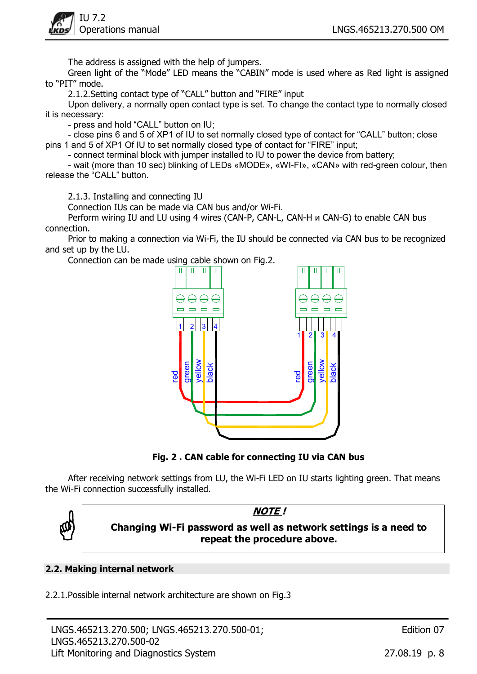

The address is assigned with the help of jumpers.

Green light of the "Mode" LED means the "CABIN" mode is used where as Red light is assigned to "PIT" mode.

2.1.2.Setting contact type of "CALL" button and "FIRE" input

Upon delivery, a normally open contact type is set. To change the contact type to normally closed it is necessary:

- press and hold "CALL" button on IU;

- close pins 6 and 5 of ХР1 of IU to set normally closed type of contact for "CALL" button; close pins 1 and 5 of ХР1 Of IU to set normally closed type of contact for "FIRE" input;

- connect terminal block with jumper installed to IU to power the device from battery;

- wait (more than 10 sec) blinking of LEDs «MODE», «WI-FI», «CAN» with red-green colour, then release the "CALL" button.

2.1.3. Installing and connecting IU

Connection IUs can be made via CAN bus and/or Wi-Fi.

Perform wiring IU and LU using 4 wires (CAN-P, CAN-L, CAN-H и CAN-G) to enable CAN bus connection.

Prior to making a connection via Wi-Fi, the IU should be connected via CAN bus to be recognized and set up by the LU.

Connection can be made using cable shown on Fig.2.



Fig. 2 . CAN cable for connecting IU via CAN bus

After receiving network settings from LU, the Wi-Fi LED on IU starts lighting green. That means the Wi-Fi connection successfully installed.



## NOTE ! Changing Wi-Fi password as well as network settings is a need to repeat the procedure above.

## 2.2. Making internal network

2.2.1.Possible internal network architecture are shown on Fig.3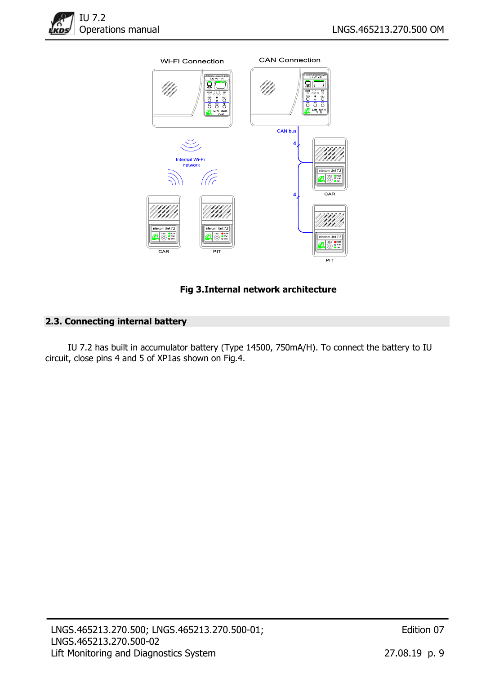



## Fig 3.Internal network architecture

## 2.3. Connecting internal battery

IU 7.2 has built in accumulator battery (Type 14500, 750mA/H). To connect the battery to IU circuit, close pins 4 and 5 of XP1as shown on Fig.4.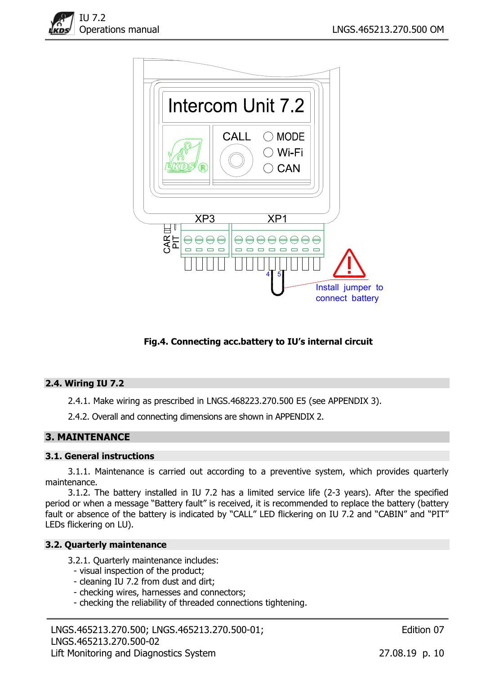



## Fig.4. Connecting acc.battery to IU's internal circuit

#### 2.4. Wiring IU 7.2

2.4.1. Make wiring as prescribed in LNGS.468223.270.500 E5 (see APPENDIX 3).

2.4.2. Overall and connecting dimensions are shown in APPENDIX 2.

## 3. MAINTENANCE

#### 3.1. General instructions

3.1.1. Maintenance is carried out according to a preventive system, which provides quarterly maintenance.

3.1.2. The battery installed in IU 7.2 has a limited service life (2-3 years). After the specified period or when a message "Battery fault" is received, it is recommended to replace the battery (battery fault or absence of the battery is indicated by "CALL" LED flickering on IU 7.2 and "CABIN" and "PIT" LEDs flickering on LU).

#### 3.2. Quarterly maintenance

3.2.1. Quarterly maintenance includes:

- visual inspection of the product;
- cleaning IU 7.2 from dust and dirt;
- checking wires, harnesses and connectors;
- checking the reliability of threaded connections tightening.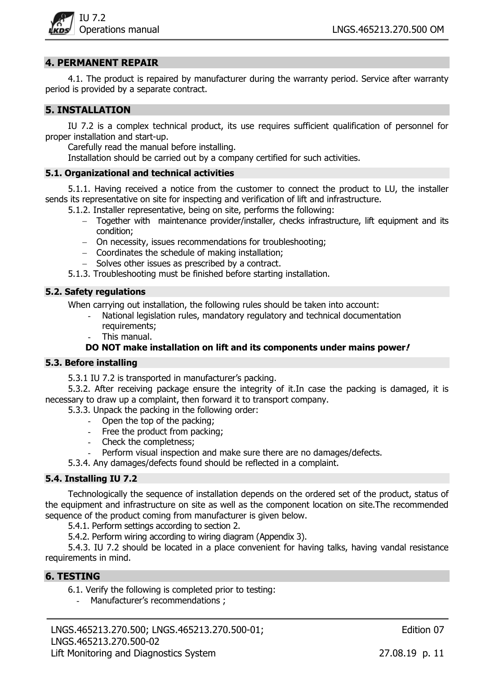

## 4. PERMANENT REPAIR

4.1. The product is repaired by manufacturer during the warranty period. Service after warranty period is provided by a separate contract.

## 5. INSTALLATION

IU 7.2 is a complex technical product, its use requires sufficient qualification of personnel for proper installation and start-up.

Carefully read the manual before installing.

Installation should be carried out by a company certified for such activities.

#### 5.1. Organizational and technical activities

5.1.1. Having received a notice from the customer to connect the product to LU, the installer sends its representative on site for inspecting and verification of lift and infrastructure.

- 5.1.2. Installer representative, being on site, performs the following:
	- Together with maintenance provider/installer, checks infrastructure, lift equipment and its condition;
	- On necessity, issues recommendations for troubleshooting;
	- Coordinates the schedule of making installation;
	- Solves other issues as prescribed by a contract.
- 5.1.3. Troubleshooting must be finished before starting installation.

#### 5.2. Safety regulations

When carrying out installation, the following rules should be taken into account:

- National legislation rules, mandatory regulatory and technical documentation requirements;
- This manual.

### DO NOT make installation on lift and its components under mains power!

#### 5.3. Before installing

5.3.1 IU 7.2 is transported in manufacturer's packing.

5.3.2. After receiving package ensure the integrity of it.In case the packing is damaged, it is necessary to draw up a complaint, then forward it to transport company.

5.3.3. Unpack the packing in the following order:

- Open the top of the packing;
- Free the product from packing;
- Check the completness;
- Perform visual inspection and make sure there are no damages/defects.

5.3.4. Any damages/defects found should be reflected in a complaint.

#### 5.4. Installing IU 7.2

Technologically the sequence of installation depends on the ordered set of the product, status of the equipment and infrastructure on site as well as the component location on site.The recommended sequence of the product coming from manufacturer is given below.

5.4.1. Perform settings according to section 2.

5.4.2. Perform wiring according to wiring diagram (Appendix 3).

5.4.3. IU 7.2 should be located in a place convenient for having talks, having vandal resistance requirements in mind.

## 6. TESTING

- 6.1. Verify the following is completed prior to testing:
	- Manufacturer's recommendations ;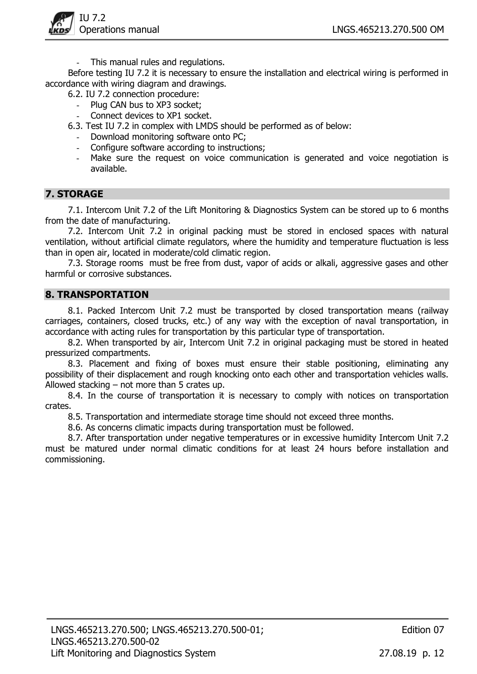

This manual rules and regulations.

Before testing IU 7.2 it is necessary to ensure the installation and electrical wiring is performed in accordance with wiring diagram and drawings.

- 6.2. IU 7.2 connection procedure:
	- Plug CAN bus to XP3 socket;
		- Connect devices to XP1 socket.
- 6.3. Test IU 7.2 in complex with LMDS should be performed as of below:
	- Download monitoring software onto PC;
	- Configure software according to instructions;
	- Make sure the request on voice communication is generated and voice negotiation is available.

## 7. STORAGE

7.1. Intercom Unit 7.2 of the Lift Monitoring & Diagnostics System can be stored up to 6 months from the date of manufacturing.

7.2. Intercom Unit 7.2 in original packing must be stored in enclosed spaces with natural ventilation, without artificial climate regulators, where the humidity and temperature fluctuation is less than in open air, located in moderate/cold climatic region.

7.3. Storage rooms must be free from dust, vapor of acids or alkali, aggressive gases and other harmful or corrosive substances.

## 8. TRANSPORTATION

8.1. Packed Intercom Unit 7.2 must be transported by closed transportation means (railway carriages, containers, closed trucks, etc.) of any way with the exception of naval transportation, in accordance with acting rules for transportation by this particular type of transportation.

8.2. When transported by air, Intercom Unit 7.2 in original packaging must be stored in heated pressurized compartments.

8.3. Placement and fixing of boxes must ensure their stable positioning, eliminating any possibility of their displacement and rough knocking onto each other and transportation vehicles walls. Allowed stacking – not more than 5 crates up.

8.4. In the course of transportation it is necessary to comply with notices on transportation crates.

8.5. Transportation and intermediate storage time should not exceed three months.

8.6. As concerns climatic impacts during transportation must be followed.

8.7. After transportation under negative temperatures or in excessive humidity Intercom Unit 7.2 must be matured under normal climatic conditions for at least 24 hours before installation and commissioning.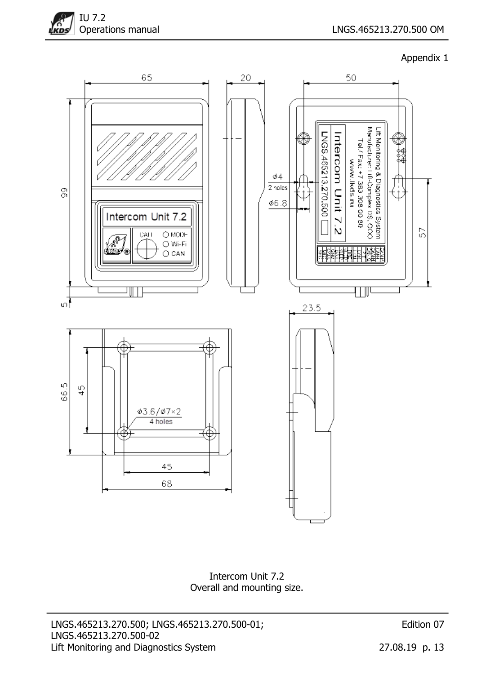



Intercom Unit 7.2 Overall and mounting size.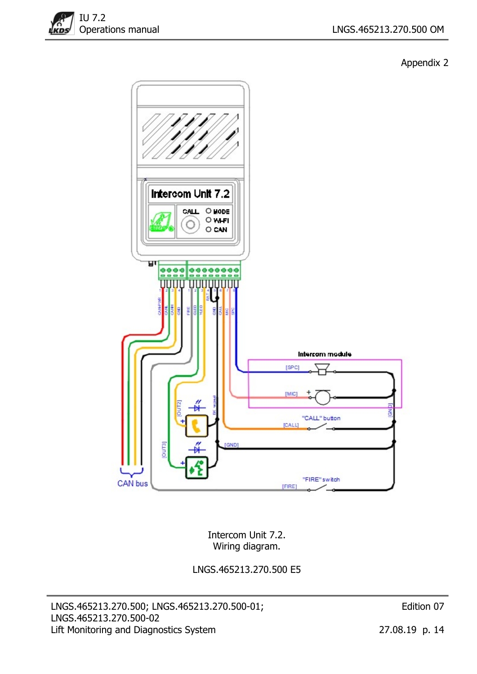



Intercom Unit 7.2. Wiring diagram.

LNGS.465213.270.500 E5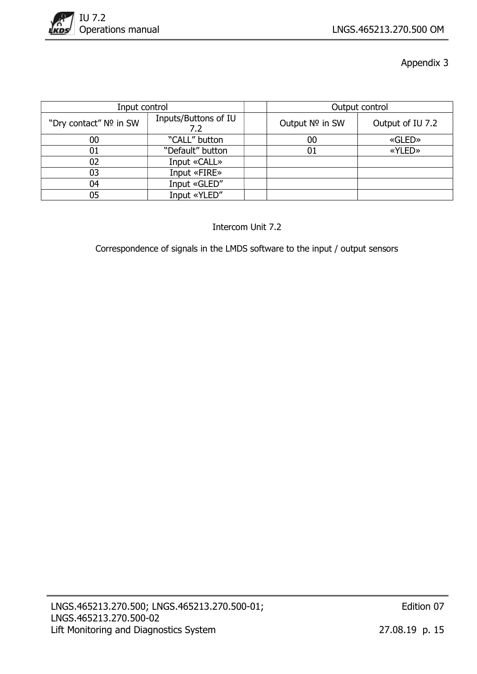

| Input control          |                             |                 | Output control   |
|------------------------|-----------------------------|-----------------|------------------|
| "Dry contact" Nº in SW | Inputs/Buttons of IU<br>7.2 | Output Nº in SW | Output of IU 7.2 |
| 00                     | "CALL" button               | 00              | «GLED»           |
| 01                     | "Default" button            | 01              | «YLED»           |
| 02                     | Input «CALL»                |                 |                  |
| 03                     | Input «FIRE»                |                 |                  |
| 04                     | Input «GLED"                |                 |                  |
| 05                     | Input «YLED"                |                 |                  |

Intercom Unit 7.2

Correspondence of signals in the LMDS software to the input / output sensors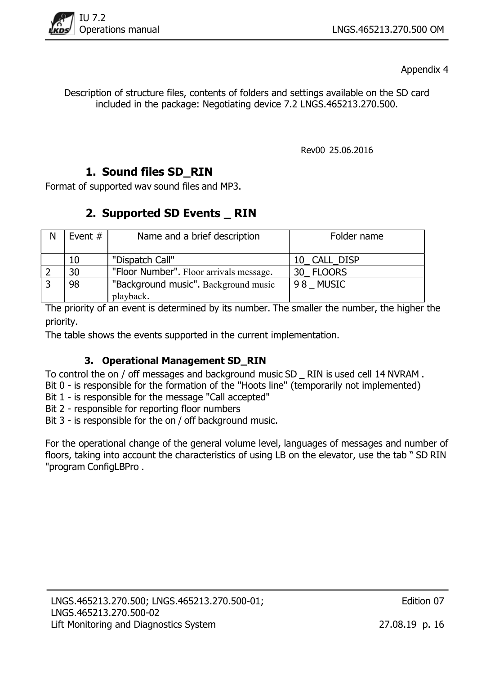

Description of structure files, contents of folders and settings available on the SD card included in the package: Negotiating device 7.2 LNGS.465213.270.500.

Rev00 25.06.2016

# 1. Sound files SD\_RIN

Format of supported wav sound files and MP3.

# 2. Supported SD Events \_ RIN

| N | Event $#$ | Name and a brief description            | Folder name  |
|---|-----------|-----------------------------------------|--------------|
|   |           |                                         |              |
|   | 10        | "Dispatch Call"                         | 10_CALL_DISP |
|   | 30        | "Floor Number". Floor arrivals message. | 30 FLOORS    |
|   | 98        | "Background music". Background music    | 98 MUSIC     |
|   |           | playback.                               |              |

The priority of an event is determined by its number. The smaller the number, the higher the priority.

The table shows the events supported in the current implementation.

## 3. Operational Management SD\_RIN

To control the on / off messages and background music SD \_ RIN is used cell 14 NVRAM .

Bit 0 - is responsible for the formation of the "Hoots line" (temporarily not implemented)

Bit 1 - is responsible for the message "Call accepted"

Bit 2 - responsible for reporting floor numbers

Bit 3 - is responsible for the on / off background music.

For the operational change of the general volume level, languages of messages and number of floors, taking into account the characteristics of using LB on the elevator, use the tab " SD RIN "program ConfigLBPro .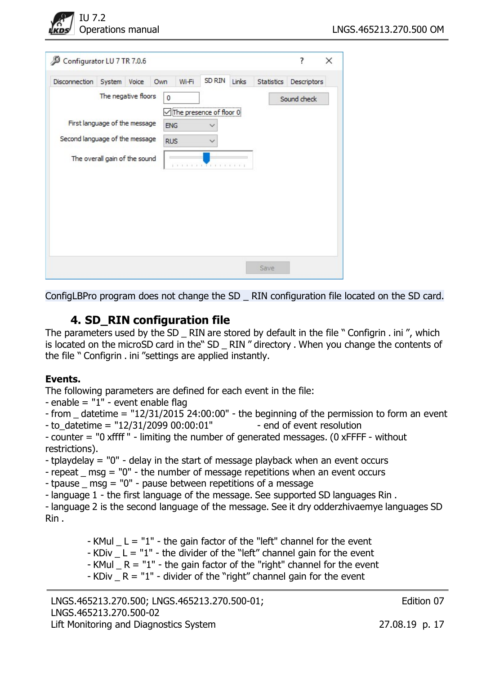

| Disconnection                  | System                        | Voice | Own |            | Wi-Fi | SD RIN                  | Links | Statistics | Descriptors |  |
|--------------------------------|-------------------------------|-------|-----|------------|-------|-------------------------|-------|------------|-------------|--|
|                                | The negative floors           |       |     | 0          |       |                         |       |            | Sound check |  |
|                                |                               |       |     |            |       | The presence of floor 0 |       |            |             |  |
| First language of the message  |                               |       |     | <b>ENG</b> |       | ∨                       |       |            |             |  |
| Second language of the message |                               |       |     | <b>RUS</b> |       |                         |       |            |             |  |
|                                | The overall gain of the sound |       |     |            |       |                         |       |            |             |  |
|                                |                               |       |     |            |       | <b>TTTTTTTFFFFFFFF</b>  |       |            |             |  |
|                                |                               |       |     |            |       |                         |       |            |             |  |
|                                |                               |       |     |            |       |                         |       |            |             |  |
|                                |                               |       |     |            |       |                         |       |            |             |  |
|                                |                               |       |     |            |       |                         |       |            |             |  |
|                                |                               |       |     |            |       |                         |       |            |             |  |

ConfigLBPro program does not change the SD \_ RIN configuration file located on the SD card.

## 4. SD\_RIN configuration file

The parameters used by the SD RIN are stored by default in the file "Configrin . ini", which is located on the microSD card in the" SD \_ RIN " directory . When you change the contents of the file " Configrin . ini "settings are applied instantly.

## Events.

The following parameters are defined for each event in the file:

- enable = "1" - event enable flag

```
- from _ datetime = "12/31/2015 24:00:00" - the beginning of the permission to form an event 
- to_datetime = "12/31/2099 00:00:01" - end of event resolution
```
- counter = "0 xffff " - limiting the number of generated messages. (0 xFFFF - without restrictions).

- tplaydelay = "0" delay in the start of message playback when an event occurs
- repeat \_ msg = "0" the number of message repetitions when an event occurs
- tpause \_ msg = "0" pause between repetitions of a message
- language 1 the first language of the message. See supported SD languages Rin .

- language 2 is the second language of the message. See it dry odderzhivaemye languages SD Rin .

- $-$  KMul  $-$  L = "1" the gain factor of the "left" channel for the event
- $-KDiv$   $L = "1"$  the divider of the "left" channel gain for the event
- KMul  $_R = "1"$  the gain factor of the "right" channel for the event
- KDiv  $R = "1"$  divider of the "right" channel gain for the event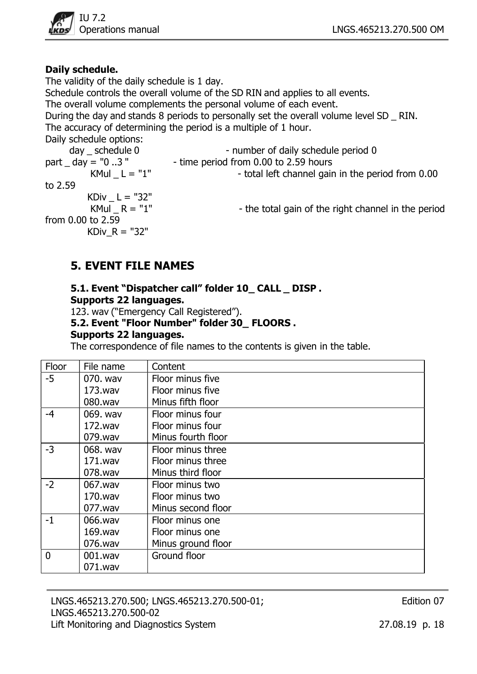

## Daily schedule.

The validity of the daily schedule is 1 day.

Schedule controls the overall volume of the SD RIN and applies to all events.

The overall volume complements the personal volume of each event.

During the day and stands 8 periods to personally set the overall volume level SD \_ RIN. The accuracy of determining the period is a multiple of 1 hour.

Daily schedule options:

day \_ schedule 0 - number of daily schedule period 0 part  $\Delta$  day = "0..3" - time period from 0.00 to 2.59 hours KMul  $L = "1"$  - total left channel gain in the period from  $0.00$ to 2.59 KDiv  $L = "32"$ KMul  $R = "1"$  - the total gain of the right channel in the period from 0.00 to 2.59 KDiv  $R = "32"$ 

## 5. EVENT FILE NAMES

## 5.1. Event "Dispatcher call" folder 10\_ CALL \_ DISP . Supports 22 languages.

123. wav ("Emergency Call Registered").

## 5.2. Event "Floor Number" folder 30\_ FLOORS .

## Supports 22 languages.

The correspondence of file names to the contents is given in the table.

| Floor          | File name  | Content            |
|----------------|------------|--------------------|
| $-5$           | 070. wav   | Floor minus five   |
|                | 173.wav    | Floor minus five   |
|                | 080.wav    | Minus fifth floor  |
| -4             | 069. wav   | Floor minus four   |
|                | 172.wav    | Floor minus four   |
|                | 079.wav    | Minus fourth floor |
| $-3$           | 068. wav   | Floor minus three  |
|                | 171.wav    | Floor minus three  |
|                | 078.wav    | Minus third floor  |
| $-2$           | 067.wav    | Floor minus two    |
|                | 170.wav    | Floor minus two    |
|                | 077.wav    | Minus second floor |
| $-1$           | 066.wav    | Floor minus one    |
|                | 169.wav    | Floor minus one    |
|                | 076.wav    | Minus ground floor |
| $\overline{0}$ | $001$ .wav | Ground floor       |
|                | 071.wav    |                    |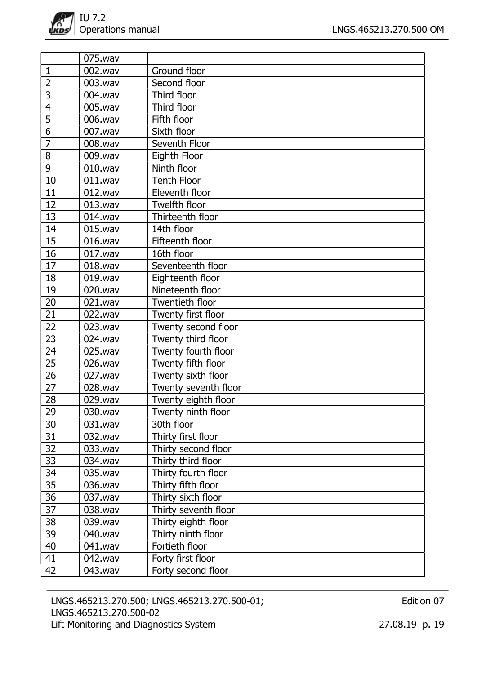|                | 075.wav    |                        |
|----------------|------------|------------------------|
| 1              | 002.wav    | Ground floor           |
| $\overline{2}$ | 003.wav    | Second floor           |
| $\overline{3}$ | 004.wav    | Third floor            |
| 4              | 005.wav    | Third floor            |
| $\overline{5}$ | 006.wav    | Fifth floor            |
| 6              | 007.wav    | Sixth floor            |
| $\overline{7}$ | 008.wav    | Seventh Floor          |
| 8              | 009.wav    | Eighth Floor           |
| 9              | $010$ .wav | Ninth floor            |
| 10             | 011.wav    | <b>Tenth Floor</b>     |
| 11             | 012.wav    | Eleventh floor         |
| 12             | 013.wav    | Twelfth floor          |
| 13             | $014$ .wav | Thirteenth floor       |
| 14             | 015.wav    | 14th floor             |
| 15             | 016.wav    | Fifteenth floor        |
| 16             | $017$ .wav | 16th floor             |
| 17             | 018.wav    | Seventeenth floor      |
| 18             | $019$ .wav | Eighteenth floor       |
| 19             | 020.wav    | Nineteenth floor       |
| 20             | 021.wav    | <b>Twentieth floor</b> |
| 21             | 022.wav    | Twenty first floor     |
| 22             | 023.wav    | Twenty second floor    |
| 23             | 024.wav    | Twenty third floor     |
| 24             | 025.wav    | Twenty fourth floor    |
| 25             | 026.wav    | Twenty fifth floor     |
| 26             | 027.wav    | Twenty sixth floor     |
| 27             | 028.wav    | Twenty seventh floor   |
| 28             | 029.wav    | Twenty eighth floor    |
| 29             | 030.wav    | Twenty ninth floor     |
| 30             | 031.wav    | 30th floor             |
| 31             | 032.wav    | Thirty first floor     |
| 32             | 033.wav    | Thirty second floor    |
| 33             | 034.wav    | Thirty third floor     |
| 34             | 035.wav    | Thirty fourth floor    |
| 35             | 036.wav    | Thirty fifth floor     |
| 36             | 037.wav    | Thirty sixth floor     |
| 37             | 038.wav    | Thirty seventh floor   |
| 38             | 039.wav    | Thirty eighth floor    |
| 39             | 040.wav    | Thirty ninth floor     |
| 40             | 041.wav    | Fortieth floor         |
| 41             | 042.wav    | Forty first floor      |
| 42             | 043.wav    | Forty second floor     |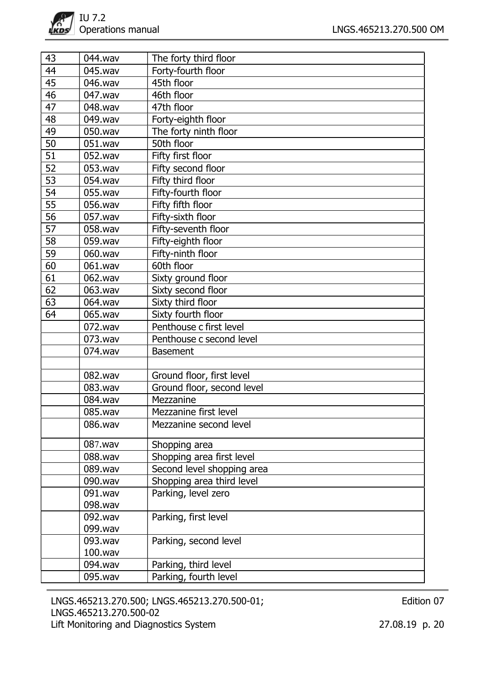| 43 | 044.wav | The forty third floor      |
|----|---------|----------------------------|
| 44 | 045.wav | Forty-fourth floor         |
| 45 | 046.wav | 45th floor                 |
| 46 | 047.wav | 46th floor                 |
| 47 | 048.wav | 47th floor                 |
| 48 | 049.wav | Forty-eighth floor         |
| 49 | 050.wav | The forty ninth floor      |
| 50 | 051.wav | 50th floor                 |
| 51 | 052.wav | Fifty first floor          |
| 52 | 053.wav | Fifty second floor         |
| 53 | 054.wav | Fifty third floor          |
| 54 | 055.wav | Fifty-fourth floor         |
| 55 | 056.wav | Fifty fifth floor          |
| 56 | 057.wav | Fifty-sixth floor          |
| 57 | 058.wav | Fifty-seventh floor        |
| 58 | 059.wav | Fifty-eighth floor         |
| 59 | 060.wav | Fifty-ninth floor          |
| 60 | 061.wav | 60th floor                 |
| 61 | 062.wav | Sixty ground floor         |
| 62 | 063.wav | Sixty second floor         |
| 63 | 064.wav | Sixty third floor          |
| 64 | 065.wav | Sixty fourth floor         |
|    | 072.wav | Penthouse c first level    |
|    | 073.wav | Penthouse c second level   |
|    | 074.wav | <b>Basement</b>            |
|    |         |                            |
|    | 082.wav | Ground floor, first level  |
|    | 083.wav | Ground floor, second level |
|    | 084.wav | Mezzanine                  |
|    | 085.wav | Mezzanine first level      |
|    | 086.wav | Mezzanine second level     |
|    | 087.wav | Shopping area              |
|    | 088.wav | Shopping area first level  |
|    | 089.wav | Second level shopping area |
|    | 090.wav | Shopping area third level  |
|    | 091.wav | Parking, level zero        |
|    | 098.wav |                            |
|    | 092.wav | Parking, first level       |
|    | 099.wav |                            |
|    | 093.wav | Parking, second level      |
|    | 100.wav |                            |
|    | 094.wav | Parking, third level       |
|    | 095.wav | Parking, fourth level      |

LNGS.465213.270.500; LNGS.465213.270.500-01; LNGS.465213.270.500-02 Lift Monitoring and Diagnostics System 27.08.19 p. 20

Edition 07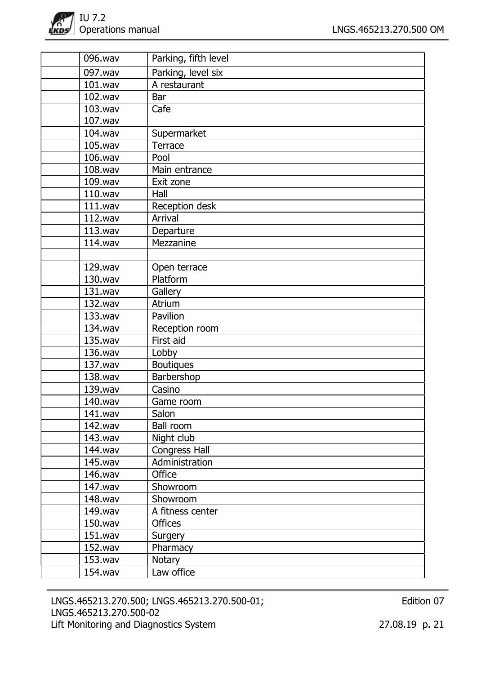| 096.wav | Parking, fifth level |
|---------|----------------------|
| 097.wav | Parking, level six   |
| 101.wav | A restaurant         |
| 102.wav | Bar                  |
| 103.wav | Cafe                 |
| 107.wav |                      |
| 104.wav | Supermarket          |
| 105.wav | Terrace              |
| 106.wav | Pool                 |
| 108.wav | Main entrance        |
| 109.wav | Exit zone            |
| 110.wav | Hall                 |
| 111.wav | Reception desk       |
| 112.wav | <b>Arrival</b>       |
| 113.wav | Departure            |
| 114.wav | Mezzanine            |
|         |                      |
| 129.wav | Open terrace         |
| 130.wav | Platform             |
| 131.wav | Gallery              |
| 132.wav | Atrium               |
| 133.wav | Pavilion             |
| 134.wav | Reception room       |
| 135.wav | First aid            |
| 136.wav | Lobby                |
| 137.wav | <b>Boutiques</b>     |
| 138.wav | Barbershop           |
| 139.wav | Casino               |
| 140.wav | Game room            |
| 141.wav | Salon                |
| 142.wav | <b>Ball room</b>     |
| 143.wav | Night club           |
| 144.wav | <b>Congress Hall</b> |
| 145.wav | Administration       |
| 146.wav | <b>Office</b>        |
| 147.wav | Showroom             |
| 148.wav | Showroom             |
| 149.wav | A fitness center     |
| 150.wav | <b>Offices</b>       |
| 151.wav | Surgery              |
| 152.wav | Pharmacy             |
| 153.wav | Notary               |
| 154.wav | Law office           |

LNGS.465213.270.500; LNGS.465213.270.500-01; LNGS.465213.270.500-02 Lift Monitoring and Diagnostics System 27.08.19 p. 21

Edition 07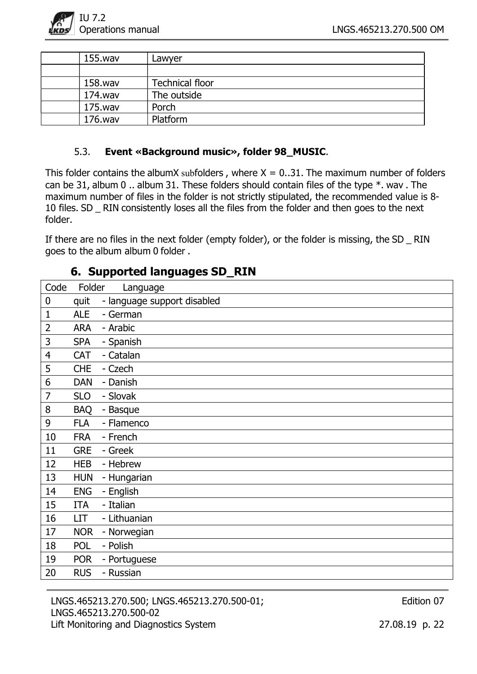

| 155.wav | Lawyer                 |
|---------|------------------------|
|         |                        |
| 158.wav | <b>Technical floor</b> |
| 174.wav | The outside            |
| 175.wav | Porch                  |
| 176.wav | Platform               |

## 5.3. Event «Background music», folder 98\_MUSIC.

This folder contains the albumX subfolders, where  $X = 0.31$ . The maximum number of folders can be 31, album 0 .. album 31. These folders should contain files of the type  $*$ . wav . The maximum number of files in the folder is not strictly stipulated, the recommended value is 8- 10 files. SD RIN consistently loses all the files from the folder and then goes to the next folder.

If there are no files in the next folder (empty folder), or the folder is missing, the SD RIN goes to the album album 0 folder .

# Code Folder Language 0 quit - language support disabled 1 ALE - German 2 ARA - Arabic 3 SPA - Spanish 4 CAT - Catalan 5 CHE - Czech 6 DAN - Danish 7 SLO - Slovak 8 BAQ - Basque 9 FLA - Flamenco 10 FRA - French 11 GRE - Greek 12 HEB - Hebrew 13 HUN - Hungarian 14 ENG - English 15 ITA - Italian 16 LIT - Lithuanian 17 NOR - Norwegian 18 POL - Polish 19 POR - Portuguese 20 RUS - Russian

6. Supported languages SD\_RIN

LNGS.465213.270.500; LNGS.465213.270.500-01; LNGS.465213.270.500-02 Lift Monitoring and Diagnostics System 27.08.19 p. 22